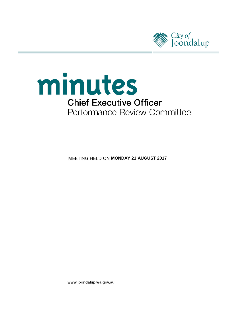



**MEETING HELD ON MONDAY 21 AUGUST 2017** 

www.joondalup.wa.gov.au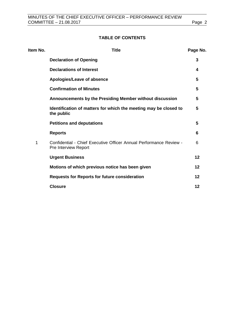# **TABLE OF CONTENTS**

| Item No. | <b>Title</b>                                                                               |    |
|----------|--------------------------------------------------------------------------------------------|----|
|          | <b>Declaration of Opening</b>                                                              | 3  |
|          | <b>Declarations of Interest</b>                                                            | 4  |
|          | Apologies/Leave of absence                                                                 | 5  |
|          | <b>Confirmation of Minutes</b>                                                             | 5  |
|          | Announcements by the Presiding Member without discussion                                   | 5  |
|          | Identification of matters for which the meeting may be closed to<br>the public             | 5  |
|          | <b>Petitions and deputations</b>                                                           | 5  |
|          | <b>Reports</b>                                                                             | 6  |
| 1        | Confidential - Chief Executive Officer Annual Performance Review -<br>Pre Interview Report | 6  |
|          | <b>Urgent Business</b>                                                                     | 12 |
|          | Motions of which previous notice has been given                                            | 12 |
|          | <b>Requests for Reports for future consideration</b>                                       | 12 |
|          | <b>Closure</b>                                                                             | 12 |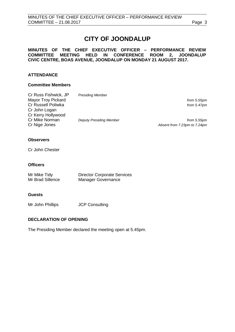# **CITY OF JOONDALUP**

### **MINUTES OF THE CHIEF EXECUTIVE OFFICER – PERFORMANCE REVIEW COMMITTEE MEETING HELD IN CONFERENCE ROOM 2, JOONDALUP CIVIC CENTRE, BOAS AVENUE, JOONDALUP ON MONDAY 21 AUGUST 2017.**

# **ATTENDANCE**

#### **Committee Members**

| Cr Russ Fishwick, JP      | <b>Presiding Member</b>        |                              |
|---------------------------|--------------------------------|------------------------------|
| <b>Mayor Troy Pickard</b> |                                | from 5.55pm                  |
| Cr Russell Poliwka        |                                | from $5.47$ pm               |
| Cr John Logan             |                                |                              |
| Cr Kerry Hollywood        |                                |                              |
| Cr Mike Norman            | <b>Deputy Presiding Member</b> | from 5.55pm                  |
| Cr Nige Jones             |                                | Absent from 7.23pm to 7.24pm |
|                           |                                |                              |
|                           |                                |                              |

# **Observers**

Cr John Chester

### **Officers**

| Mr Mike Tidy     | <b>Director Corporate Services</b> |
|------------------|------------------------------------|
| Mr Brad Sillence | <b>Manager Governance</b>          |

### **Guests**

Mr John Phillips **JCP Consulting** 

# <span id="page-2-0"></span>**DECLARATION OF OPENING**

The Presiding Member declared the meeting open at 5.45pm.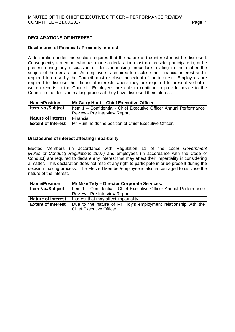## <span id="page-3-0"></span>**DECLARATIONS OF INTEREST**

#### **Disclosures of Financial / Proximity Interest**

A declaration under this section requires that the nature of the interest must be disclosed. Consequently a member who has made a declaration must not preside, participate in, or be present during any discussion or decision-making procedure relating to the matter the subject of the declaration. An employee is required to disclose their financial interest and if required to do so by the Council must disclose the extent of the interest. Employees are required to disclose their financial interests where they are required to present verbal or written reports to the Council. Employees are able to continue to provide advice to the Council in the decision making process if they have disclosed their interest.

| <b>Name/Position</b>      | Mr Garry Hunt - Chief Executive Officer.                           |  |
|---------------------------|--------------------------------------------------------------------|--|
| <b>Item No./Subject</b>   | Item 1 - Confidential - Chief Executive Officer Annual Performance |  |
|                           | Review - Pre Interview Report.                                     |  |
| <b>Nature of interest</b> | Financial.                                                         |  |
| <b>Extent of Interest</b> | Mr Hunt holds the position of Chief Executive Officer.             |  |

#### **Disclosures of interest affecting impartiality**

Elected Members (in accordance with Regulation 11 of the *Local Government [Rules of Conduct] Regulations 2007)* and employees (in accordance with the Code of Conduct) are required to declare any interest that may affect their impartiality in considering a matter. This declaration does not restrict any right to participate in or be present during the decision-making process. The Elected Member/employee is also encouraged to disclose the nature of the interest.

| <b>Name/Position</b>      | Mr Mike Tidy - Director Corporate Services.                        |  |  |
|---------------------------|--------------------------------------------------------------------|--|--|
| <b>Item No./Subject</b>   | Item 1 - Confidential - Chief Executive Officer Annual Performance |  |  |
|                           | Review - Pre Interview Report.                                     |  |  |
| <b>Nature of interest</b> | Interest that may affect impartiality.                             |  |  |
| <b>Extent of Interest</b> | Due to the nature of Mr Tidy's employment relationship with the    |  |  |
|                           | <b>Chief Executive Officer.</b>                                    |  |  |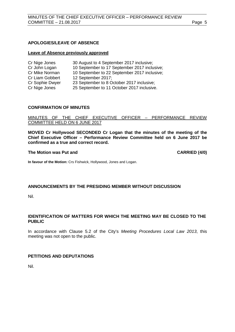### <span id="page-4-0"></span>**APOLOGIES/LEAVE OF ABSENCE**

#### **Leave of Absence previously approved**

| Cr Nige Jones   | 30 August to 4 September 2017 inclusive;     |
|-----------------|----------------------------------------------|
| Cr John Logan   | 10 September to 17 September 2017 inclusive; |
| Cr Mike Norman  | 10 September to 22 September 2017 inclusive; |
| Cr Liam Gobbert | 12 September 2017;                           |
| Cr Sophie Dwyer | 23 September to 8 October 2017 inclusive;    |
| Cr Nige Jones   | 25 September to 11 October 2017 inclusive.   |
|                 |                                              |

#### <span id="page-4-1"></span>**CONFIRMATION OF MINUTES**

MINUTES OF THE CHIEF EXECUTIVE OFFICER – PERFORMANCE REVIEW COMMITTEE HELD ON 6 JUNE 2017

**MOVED Cr Hollywood SECONDED Cr Logan that the minutes of the meeting of the Chief Executive Officer – Performance Review Committee held on 6 June 2017 be confirmed as a true and correct record.**

#### **The Motion was Put and CARRIED (4/0)**

**In favour of the Motion:** Crs Fishwick, Hollywood, Jones and Logan.

#### **ANNOUNCEMENTS BY THE PRESIDING MEMBER WITHOUT DISCUSSION**

Nil.

## <span id="page-4-2"></span>**IDENTIFICATION OF MATTERS FOR WHICH THE MEETING MAY BE CLOSED TO THE PUBLIC**

In accordance with Clause 5.2 of the City's *Meeting Procedures Local Law 2013*, this meeting was not open to the public.

#### <span id="page-4-3"></span>**PETITIONS AND DEPUTATIONS**

Nil.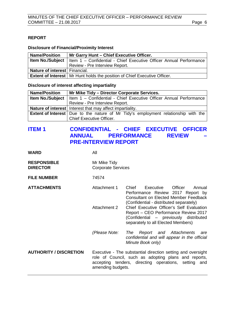### <span id="page-5-0"></span>**REPORT**

#### **Disclosure of Financial/Proximity Interest**

| <b>Name/Position</b>          | Mr Garry Hunt - Chief Executive Officer.                                                       |  |  |
|-------------------------------|------------------------------------------------------------------------------------------------|--|--|
|                               | <b>Item No./Subject</b>   Item $1 -$ Confidential - Chief Executive Officer Annual Performance |  |  |
|                               | Review - Pre Interview Report.                                                                 |  |  |
| Nature of interest Financial. |                                                                                                |  |  |
|                               | <b>Extent of Interest</b>   Mr Hunt holds the position of Chief Executive Officer.             |  |  |

#### **Disclosure of interest affecting impartiality**

| <b>Name/Position</b> | Mr Mike Tidy - Director Corporate Services.                                                    |  |  |
|----------------------|------------------------------------------------------------------------------------------------|--|--|
|                      | <b>Item No./Subject</b>   Item $1 -$ Confidential - Chief Executive Officer Annual Performance |  |  |
|                      | Review - Pre Interview Report.                                                                 |  |  |
|                      | Nature of interest   Interest that may affect impartiality.                                    |  |  |
|                      | Extent of Interest   Due to the nature of Mr Tidy's employment relationship with the           |  |  |
|                      | Chief Executive Officer.                                                                       |  |  |

# <span id="page-5-1"></span>**ITEM 1 CONFIDENTIAL - CHIEF EXECUTIVE OFFICER ANNUAL PERFORMANCE REVIEW – PRE-INTERVIEW REPORT**

**WARD** All

| <b>RESPONSIBLE</b><br><b>DIRECTOR</b> | Mr Mike Tidy<br><b>Corporate Services</b>                                                                                                                                                        |                                                                                                                                                                         |
|---------------------------------------|--------------------------------------------------------------------------------------------------------------------------------------------------------------------------------------------------|-------------------------------------------------------------------------------------------------------------------------------------------------------------------------|
| <b>FILE NUMBER</b>                    | 74574                                                                                                                                                                                            |                                                                                                                                                                         |
| <b>ATTACHMENTS</b>                    | Attachment 1                                                                                                                                                                                     | Chief<br>Executive<br>Officer<br>Annual<br>Performance Review 2017 Report by<br><b>Consultant on Elected Member Feedback</b><br>(Confidential - distributed separately) |
|                                       | Attachment 2                                                                                                                                                                                     | Chief Executive Officer's Self Evaluation<br>Report – CEO Performance Review 2017<br>(Confidential – previously distributed<br>separately to all Elected Members)       |
|                                       | (Please Note:                                                                                                                                                                                    | Report and Attachments<br><b>The</b><br>are<br>confidential and will appear in the official<br>Minute Book only)                                                        |
| <b>AUTHORITY / DISCRETION</b>         | Executive - The substantial direction setting and oversight<br>role of Council, such as adopting plans and reports,<br>accepting tenders, directing operations, setting and<br>amending budgets. |                                                                                                                                                                         |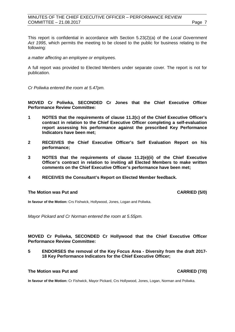### MINUTES OF THE CHIEF EXECUTIVE OFFICER – PERFORMANCE REVIEW COMMITTEE – 21.08.2017 Page 7

This report is confidential in accordance with Section 5.23(2)(a) of the *Local Government Act 1995*, which permits the meeting to be closed to the public for business relating to the following:

*a matter affecting an employee or employees.*

A full report was provided to Elected Members under separate cover. The report is not for publication.

*Cr Poliwka entered the room at 5.47pm.*

**MOVED Cr Poliwka, SECONDED Cr Jones that the Chief Executive Officer Performance Review Committee:**

- **1 NOTES that the requirements of clause 11.2(c) of the Chief Executive Officer's contract in relation to the Chief Executive Officer completing a self-evaluation report assessing his performance against the prescribed Key Performance Indicators have been met;**
- **2 RECEIVES the Chief Executive Officer's Self Evaluation Report on his performance;**
- **3 NOTES that the requirements of clause 11.2(e)(ii) of the Chief Executive Officer's contract in relation to inviting all Elected Members to make written comments on the Chief Executive Officer's performance have been met;**
- **4 RECEIVES the Consultant's Report on Elected Member feedback.**

#### **The Motion was Put and CARRIED (5/0)**

**In favour of the Motion:** Crs Fishwick, Hollywood, Jones, Logan and Poliwka.

*Mayor Pickard and Cr Norman entered the room at 5.55pm.*

**MOVED Cr Poliwka, SECONDED Cr Hollywood that the Chief Executive Officer Performance Review Committee:**

**5 ENDORSES the removal of the Key Focus Area - Diversity from the draft 2017- 18 Key Performance Indicators for the Chief Executive Officer;**

#### **The Motion was Put and CARRIED (7/0)**

**In favour of the Motion:** Cr Fishwick, Mayor Pickard, Crs Hollywood, Jones, Logan, Norman and Poliwka.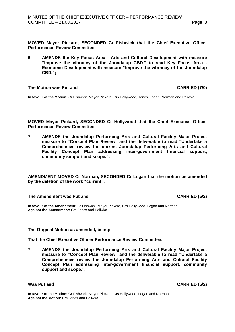**MOVED Mayor Pickard, SECONDED Cr Fishwick that the Chief Executive Officer Performance Review Committee:**

**6 AMENDS the Key Focus Area - Arts and Cultural Development with measure "Improve the vibrancy of the Joondalup CBD." to read Key Focus Area - Economic Development with measure "Improve the vibrancy of the Joondalup CBD.";**

#### **The Motion was Put and CARRIED (7/0)**

**In favour of the Motion:** Cr Fishwick, Mayor Pickard, Crs Hollywood, Jones, Logan, Norman and Poliwka.

**MOVED Mayor Pickard, SECONDED Cr Hollywood that the Chief Executive Officer Performance Review Committee:**

**7 AMENDS the Joondalup Performing Arts and Cultural Facility Major Project measure to "Concept Plan Review" and the deliverable to read "Undertake a Comprehensive review the current Joondalup Performing Arts and Cultural Facility Concept Plan addressing inter-government financial support, community support and scope.";**

**AMENDMENT MOVED Cr Norman, SECONDED Cr Logan that the motion be amended by the deletion of the work "current".**

#### **The Amendment was Put and CARRIED (5/2)**

**In favour of the Amendment:** Cr Fishwick, Mayor Pickard, Crs Hollywood, Logan and Norman. **Against the Amendment:** Crs Jones and Poliwka.

#### **The Original Motion as amended, being:**

**That the Chief Executive Officer Performance Review Committee:**

**7 AMENDS the Joondalup Performing Arts and Cultural Facility Major Project measure to "Concept Plan Review" and the deliverable to read "Undertake a Comprehensive review the Joondalup Performing Arts and Cultural Facility Concept Plan addressing inter-government financial support, community support and scope.";**

**Was Put and CARRIED (5/2)**

**In favour of the Motion:** Cr Fishwick, Mayor Pickard, Crs Hollywood, Logan and Norman. **Against the Motion:** Crs Jones and Poliwka.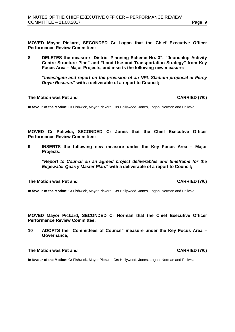**MOVED Mayor Pickard, SECONDED Cr Logan that the Chief Executive Officer Performance Review Committee:**

**8 DELETES the measure "District Planning Scheme No. 3", "Joondalup Activity Centre Structure Plan" and "Land Use and Transportation Strategy" from Key Focus Area – Major Projects, and inserts the following new measure:**

**"***Investigate and report on the provision of an NPL Stadium proposal at Percy Doyle Reserve***." with a deliverable of a report to Council;**

#### **The Motion was Put and CARRIED (7/0)**

**In favour of the Motion:** Cr Fishwick, Mayor Pickard, Crs Hollywood, Jones, Logan, Norman and Poliwka.

**MOVED Cr Poliwka, SECONDED Cr Jones that the Chief Executive Officer Performance Review Committee:**

**9 INSERTS the following new measure under the Key Focus Area – Major Projects:**

**"***Report to Council on an agreed project deliverables and timeframe for the Edgewater Quarry Master Plan***." with a deliverable of a report to Council;**

#### **The Motion was Put and CARRIED (7/0)**

**In favour of the Motion:** Cr Fishwick, Mayor Pickard, Crs Hollywood, Jones, Logan, Norman and Poliwka.

**MOVED Mayor Pickard, SECONDED Cr Norman that the Chief Executive Officer Performance Review Committee:**

**10 ADOPTS the "Committees of Council" measure under the Key Focus Area – Governance;**

#### **The Motion was Put and CARRIED (7/0)**

**In favour of the Motion:** Cr Fishwick, Mayor Pickard, Crs Hollywood, Jones, Logan, Norman and Poliwka.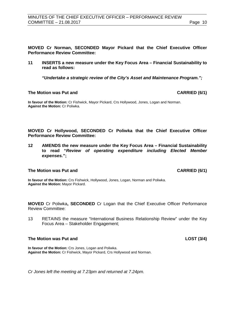**MOVED Cr Norman, SECONDED Mayor Pickard that the Chief Executive Officer Performance Review Committee:**

**11 INSERTS a new measure under the Key Focus Area – Financial Sustainability to read as follows:**

*"Undertake a strategic review of the City's Asset and Maintenance Program.";*

#### **The Motion was Put and CARRIED (6/1)**

**In favour of the Motion:** Cr Fishwick, Mayor Pickard, Crs Hollywood, Jones, Logan and Norman. **Against the Motion:** Cr Poliwka.

**MOVED Cr Hollywood, SECONDED Cr Poliwka that the Chief Executive Officer Performance Review Committee:**

**12 AMENDS the new measure under the Key Focus Area – Financial Sustainability to read "***Review of operating expenditure including Elected Member expenses.***";**

#### **The Motion was Put and CARRIED (6/1)**

**In favour of the Motion:** Crs Fishwick, Hollywood, Jones, Logan, Norman and Poliwka. **Against the Motion:** Mayor Pickard.

**MOVED** Cr Poliwka**, SECONDED** Cr Logan that the Chief Executive Officer Performance Review Committee:

13 RETAINS the measure "International Business Relationship Review" under the Key Focus Area – Stakeholder Engagement;

#### **The Motion was Put and LOST (3/4)**

**In favour of the Motion:** Crs Jones, Logan and Poliwka. **Against the Motion:** Cr Fishwick, Mayor Pickard, Crs Hollywood and Norman.

*Cr Jones left the meeting at 7.23pm and returned at 7.24pm.*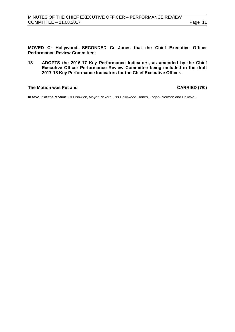**MOVED Cr Hollywood, SECONDED Cr Jones that the Chief Executive Officer Performance Review Committee:**

**13 ADOPTS the 2016-17 Key Performance Indicators, as amended by the Chief Executive Officer Performance Review Committee being included in the draft 2017-18 Key Performance Indicators for the Chief Executive Officer.** 

### **The Motion was Put and CARRIED (7/0)**

**In favour of the Motion:** Cr Fishwick, Mayor Pickard, Crs Hollywood, Jones, Logan, Norman and Poliwka.